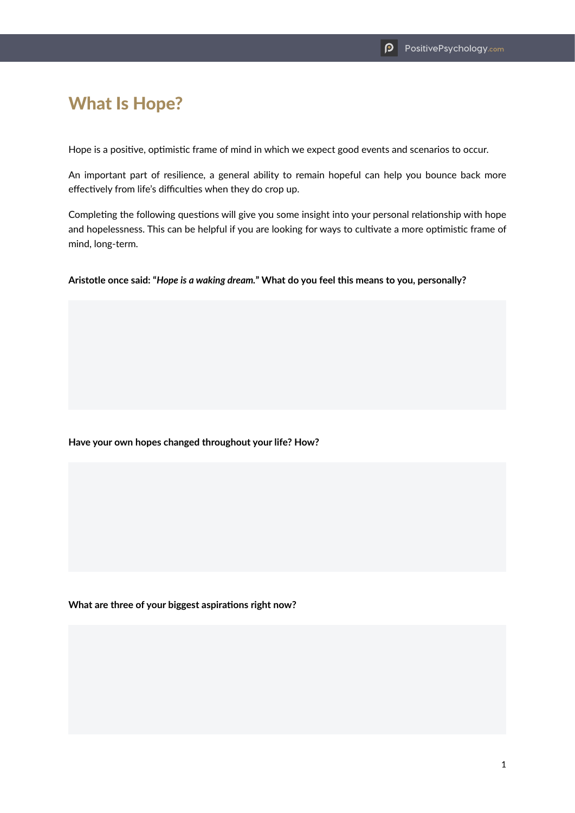## What Is Hope?

Hope is a positive, optimistic frame of mind in which we expect good events and scenarios to occur.

An important part of resilience, a general ability to remain hopeful can help you bounce back more effectively from life's difficulties when they do crop up.

Completing the following questions will give you some insight into your personal relationship with hope and hopelessness. This can be helpful if you are looking for ways to cultivate a more optimistic frame of mind, long-term.

**Aristotle once said: "***Hope is a waking dream.***" What do you feel this means to you, personally?**

**Have your own hopes changed throughout your life? How?**

**What are three of your biggest aspirations right now?**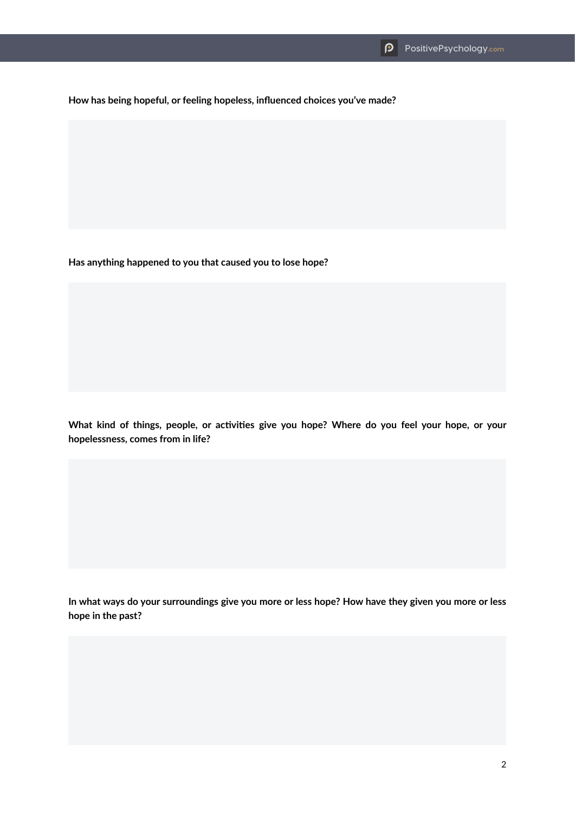**How has being hopeful, or feeling hopeless, influenced choices you've made?**

**Has anything happened to you that caused you to lose hope?**

**What kind of things, people, or activities give you hope? Where do you feel your hope, or your hopelessness, comes from in life?**

**In what ways do your surroundings give you more or less hope? How have they given you more or less hope in the past?**